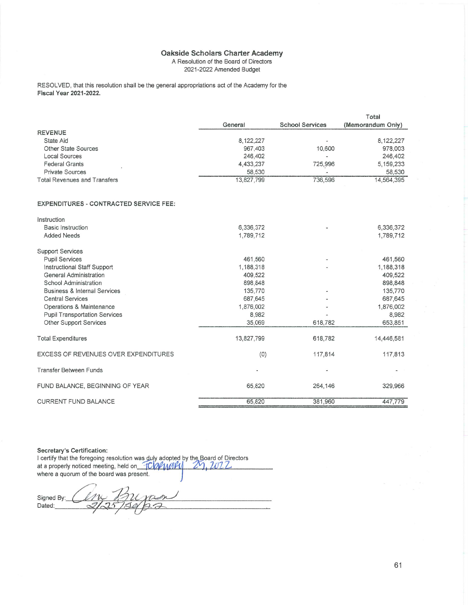#### Oakside Scholars Charter Academy A Resolution of the Board of Directors 2021-2022 Amended Budget

RESOLVED, that this resolution shall be the general appropriations act of the Academy for the Fiscal Year 2021-2022.

|                                               |            |                        | Total             |
|-----------------------------------------------|------------|------------------------|-------------------|
|                                               | General    | <b>School Services</b> | (Memorandum Only) |
| <b>REVENUE</b>                                |            |                        |                   |
| State Aid                                     | 8,122,227  |                        | 8,122,227         |
| Other State Sources                           | 967,403    | 10,600                 | 978,003           |
| Local Sources                                 | 246,402    |                        | 246,402           |
| <b>Federal Grants</b>                         | 4,433,237  | 725,996                | 5, 159, 233       |
| <b>Private Sources</b>                        | 58,530     |                        | 58,530            |
| <b>Total Revenues and Transfers</b>           | 13,827,799 | 736,596                | 14,564,395        |
|                                               |            |                        |                   |
| <b>EXPENDITURES - CONTRACTED SERVICE FEE:</b> |            |                        |                   |
| Instruction                                   |            |                        |                   |
| <b>Basic Instruction</b>                      | 6,336,372  |                        | 6,336,372         |
| <b>Added Needs</b>                            | 1,789,712  |                        | 1,789,712         |
| <b>Support Services</b>                       |            |                        |                   |
| <b>Pupil Services</b>                         | 461,560    | $\blacksquare$         | 461,560           |
| Instructional Staff Support                   | 1,188,318  |                        | 1,188,318         |
| General Administration                        | 409,522    |                        | 409,522           |
| School Administration                         | 898,848    |                        | 898,848           |
| <b>Business &amp; Internal Services</b>       | 135,770    |                        | 135,770           |
| <b>Central Services</b>                       | 687,645    |                        | 687,645           |
| Operations & Maintenance                      | 1,876,002  |                        | 1,876,002         |
| <b>Pupil Transportation Services</b>          | 8,982      |                        | 8,982             |
| Other Support Services                        | 35,069     | 618,782                | 653,851           |
| <b>Total Expenditures</b>                     | 13,827,799 | 618,782                | 14,446,581        |

| $\sim$                               | 10,0001,100 | $\sim$ $\sim$  | 1, 1, 1, 1, 0, 0, 0, 1 |
|--------------------------------------|-------------|----------------|------------------------|
| EXCESS OF REVENUES OVER EXPENDITURES | (0)         | 117,814        | 117,813                |
| Transfer Between Funds               | ٠           | $\blacksquare$ | -                      |
| FUND BALANCE, BEGINNING OF YEAR      | 65,820      | 264.146        | 329.966                |
| <b>CURRENT FUND BALANCE</b>          | 65,820      | 381.960        | 447.779                |

Secretary's Certification:

I certify that the foregoing resolution was duly adopted by the Board of Directors<br>at a properly noticed meeting, held on **FOY MARK 2007**, 2012

Signed By: Dated: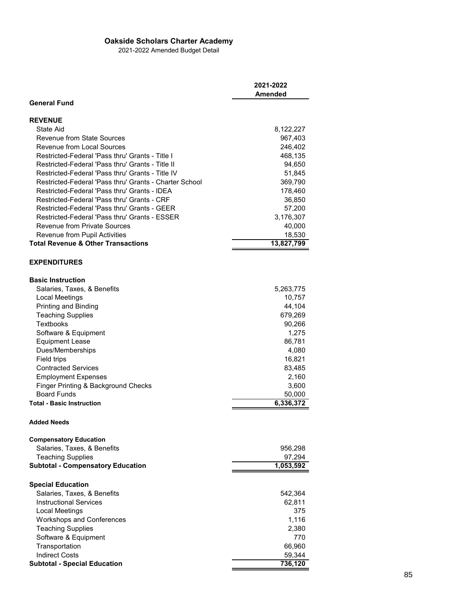## **Oakside Scholars Charter Academy**

2021-2022 Amended Budget Detail

|                                                        | 2021-2022  |
|--------------------------------------------------------|------------|
|                                                        | Amended    |
| <b>General Fund</b>                                    |            |
| <b>REVENUE</b>                                         |            |
| State Aid                                              | 8,122,227  |
| <b>Revenue from State Sources</b>                      | 967,403    |
| <b>Revenue from Local Sources</b>                      | 246,402    |
| Restricted-Federal 'Pass thru' Grants - Title I        | 468,135    |
| Restricted-Federal 'Pass thru' Grants - Title II       | 94,650     |
| Restricted-Federal 'Pass thru' Grants - Title IV       | 51,845     |
| Restricted-Federal 'Pass thru' Grants - Charter School | 369,790    |
| Restricted-Federal 'Pass thru' Grants - IDFA           | 178,460    |
| Restricted-Federal 'Pass thru' Grants - CRF            | 36,850     |
| Restricted-Federal 'Pass thru' Grants - GEER           | 57,200     |
| Restricted-Federal 'Pass thru' Grants - ESSER          | 3,176,307  |
| <b>Revenue from Private Sources</b>                    | 40,000     |
| Revenue from Pupil Activities                          | 18,530     |
| <b>Total Revenue &amp; Other Transactions</b>          | 13,827,799 |
|                                                        |            |
| <b>EXPENDITURES</b>                                    |            |
| <b>Basic Instruction</b>                               |            |
| Salaries, Taxes, & Benefits                            | 5,263,775  |
| Local Meetings                                         | 10,757     |
| Printing and Binding                                   | 44,104     |
| <b>Teaching Supplies</b>                               | 679,269    |
| <b>Textbooks</b>                                       | 90,266     |
| Software & Equipment                                   | 1,275      |
| <b>Equipment Lease</b>                                 | 86,781     |
| Dues/Memberships                                       | 4,080      |
| Field trips                                            | 16,821     |
| <b>Contracted Services</b>                             | 83,485     |
| <b>Employment Expenses</b>                             | 2,160      |
| Finger Printing & Background Checks                    | 3,600      |
| <b>Board Funds</b>                                     | 50,000     |
| <b>Total - Basic Instruction</b>                       | 6,336,372  |
|                                                        |            |
| <b>Added Needs</b>                                     |            |
| <b>Compensatory Education</b>                          |            |
| Salaries, Taxes, & Benefits                            | 956,298    |
| <b>Teaching Supplies</b>                               | 97,294     |
| <b>Subtotal - Compensatory Education</b>               | 1,053,592  |
|                                                        |            |
| <b>Special Education</b>                               |            |
| Salaries, Taxes, & Benefits                            | 542,364    |
| <b>Instructional Services</b>                          | 62,811     |
| Local Meetings                                         | 375        |
| <b>Workshops and Conferences</b>                       | 1,116      |
| <b>Teaching Supplies</b>                               | 2,380      |
| Software & Equipment                                   | 770        |
| Transportation                                         | 66,960     |
| <b>Indirect Costs</b>                                  | 59,344     |
| <b>Subtotal - Special Education</b>                    | 736,120    |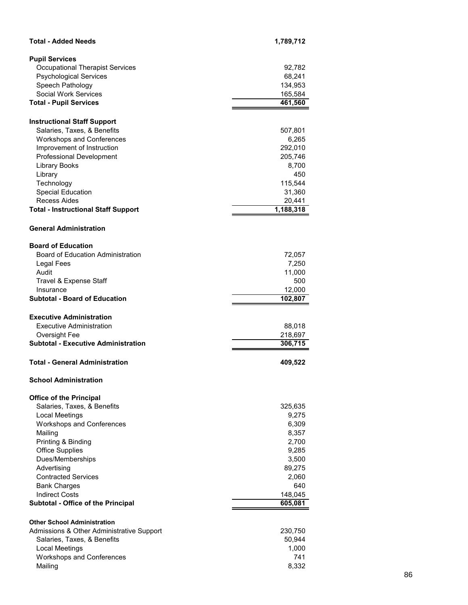| <b>Total - Added Needs</b>                                  | 1,789,712          |
|-------------------------------------------------------------|--------------------|
| <b>Pupil Services</b>                                       |                    |
| <b>Occupational Therapist Services</b>                      | 92,782             |
| <b>Psychological Services</b>                               | 68,241             |
| Speech Pathology                                            | 134,953            |
| <b>Social Work Services</b>                                 | 165,584            |
| <b>Total - Pupil Services</b>                               | 461,560            |
|                                                             |                    |
| <b>Instructional Staff Support</b>                          |                    |
| Salaries, Taxes, & Benefits                                 | 507,801            |
| <b>Workshops and Conferences</b>                            | 6,265              |
| Improvement of Instruction<br>Professional Development      | 292,010<br>205,746 |
| <b>Library Books</b>                                        | 8,700              |
| Library                                                     | 450                |
| Technology                                                  | 115,544            |
| <b>Special Education</b>                                    | 31,360             |
| <b>Recess Aides</b>                                         | 20,441             |
| <b>Total - Instructional Staff Support</b>                  | 1,188,318          |
| <b>General Administration</b>                               |                    |
|                                                             |                    |
| <b>Board of Education</b>                                   |                    |
| Board of Education Administration                           | 72,057             |
| Legal Fees                                                  | 7,250              |
| Audit                                                       | 11,000             |
| Travel & Expense Staff<br>Insurance                         | 500<br>12,000      |
| <b>Subtotal - Board of Education</b>                        | 102,807            |
|                                                             |                    |
| <b>Executive Administration</b>                             |                    |
| Executive Administration                                    | 88,018             |
| Oversight Fee<br><b>Subtotal - Executive Administration</b> | 218,697<br>306,715 |
|                                                             |                    |
| <b>Total - General Administration</b>                       | 409,522            |
| <b>School Administration</b>                                |                    |
| <b>Office of the Principal</b>                              |                    |
| Salaries, Taxes, & Benefits                                 | 325,635            |
| Local Meetings                                              | 9,275              |
| Workshops and Conferences                                   | 6,309              |
| Mailing                                                     | 8,357              |
| Printing & Binding                                          | 2,700              |
| <b>Office Supplies</b>                                      | 9,285              |
| Dues/Memberships                                            | 3,500              |
| Advertising                                                 | 89,275             |
| <b>Contracted Services</b><br><b>Bank Charges</b>           | 2,060<br>640       |
| <b>Indirect Costs</b>                                       | 148,045            |
| Subtotal - Office of the Principal                          | 605,081            |
|                                                             |                    |
| <b>Other School Administration</b>                          |                    |
| Admissions & Other Administrative Support                   | 230,750            |
| Salaries, Taxes, & Benefits                                 | 50,944             |
| <b>Local Meetings</b>                                       |                    |
|                                                             | 1,000              |
| <b>Workshops and Conferences</b><br>Mailing                 | 741<br>8,332       |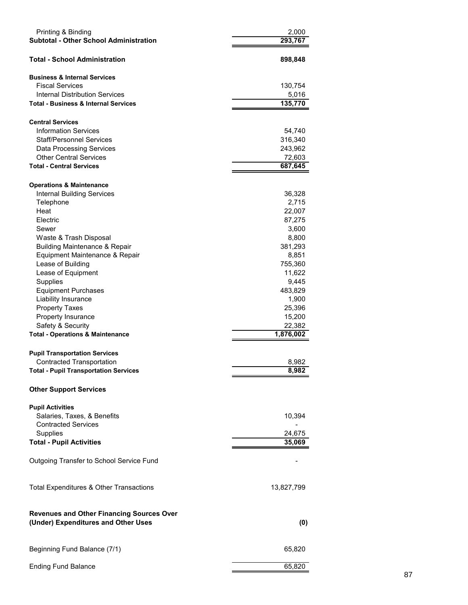| Printing & Binding<br><b>Subtotal - Other School Administration</b>                     | 2,000<br>293,767 |
|-----------------------------------------------------------------------------------------|------------------|
| <b>Total - School Administration</b>                                                    | 898,848          |
| <b>Business &amp; Internal Services</b>                                                 |                  |
| <b>Fiscal Services</b>                                                                  | 130,754          |
| Internal Distribution Services                                                          | 5,016            |
| <b>Total - Business &amp; Internal Services</b>                                         | 135,770          |
| <b>Central Services</b>                                                                 |                  |
| <b>Information Services</b>                                                             | 54,740           |
| <b>Staff/Personnel Services</b>                                                         | 316,340          |
| <b>Data Processing Services</b>                                                         | 243,962          |
| <b>Other Central Services</b>                                                           | 72,603           |
| <b>Total - Central Services</b>                                                         | 687,645          |
| <b>Operations &amp; Maintenance</b>                                                     |                  |
| <b>Internal Building Services</b>                                                       | 36,328           |
| Telephone                                                                               | 2,715            |
| Heat                                                                                    | 22,007           |
| Electric                                                                                | 87,275           |
| Sewer                                                                                   | 3,600            |
| Waste & Trash Disposal<br><b>Building Maintenance &amp; Repair</b>                      | 8,800<br>381,293 |
| Equipment Maintenance & Repair                                                          | 8,851            |
| Lease of Building                                                                       | 755,360          |
| Lease of Equipment                                                                      | 11,622           |
| Supplies                                                                                | 9,445            |
| <b>Equipment Purchases</b>                                                              | 483,829          |
| Liability Insurance                                                                     | 1,900            |
| <b>Property Taxes</b>                                                                   | 25,396           |
| Property Insurance                                                                      | 15,200           |
| Safety & Security                                                                       | 22,382           |
| <b>Total - Operations &amp; Maintenance</b>                                             | 1,876,002        |
| <b>Pupil Transportation Services</b>                                                    |                  |
| <b>Contracted Transportation</b>                                                        | 8,982            |
| <b>Total - Pupil Transportation Services</b>                                            | 8,982            |
| <b>Other Support Services</b>                                                           |                  |
| <b>Pupil Activities</b>                                                                 |                  |
| Salaries, Taxes, & Benefits                                                             | 10,394           |
| <b>Contracted Services</b>                                                              |                  |
| Supplies                                                                                | 24,675           |
| <b>Total - Pupil Activities</b>                                                         | 35,069           |
| Outgoing Transfer to School Service Fund                                                |                  |
| Total Expenditures & Other Transactions                                                 | 13,827,799       |
| <b>Revenues and Other Financing Sources Over</b><br>(Under) Expenditures and Other Uses | (0)              |
| Beginning Fund Balance (7/1)                                                            | 65,820           |
| <b>Ending Fund Balance</b>                                                              | 65,820           |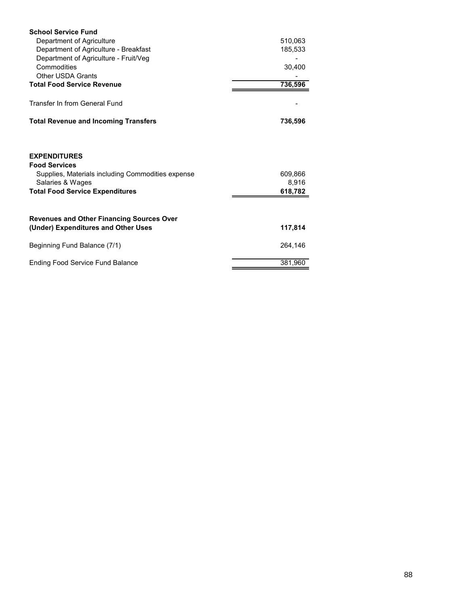| <b>School Service Fund</b>                                                                                                                                     |                             |
|----------------------------------------------------------------------------------------------------------------------------------------------------------------|-----------------------------|
| Department of Agriculture                                                                                                                                      | 510,063                     |
| Department of Agriculture - Breakfast                                                                                                                          | 185,533                     |
| Department of Agriculture - Fruit/Veg                                                                                                                          |                             |
| Commodities                                                                                                                                                    | 30,400                      |
| <b>Other USDA Grants</b>                                                                                                                                       |                             |
| <b>Total Food Service Revenue</b>                                                                                                                              | 736,596                     |
| Transfer In from General Fund                                                                                                                                  |                             |
| <b>Total Revenue and Incoming Transfers</b>                                                                                                                    | 736,596                     |
| <b>EXPENDITURES</b><br><b>Food Services</b><br>Supplies, Materials including Commodities expense<br>Salaries & Wages<br><b>Total Food Service Expenditures</b> | 609,866<br>8,916<br>618,782 |
| <b>Revenues and Other Financing Sources Over</b>                                                                                                               |                             |
| (Under) Expenditures and Other Uses                                                                                                                            | 117,814                     |
| Beginning Fund Balance (7/1)                                                                                                                                   | 264,146                     |
| <b>Ending Food Service Fund Balance</b>                                                                                                                        | 381,960                     |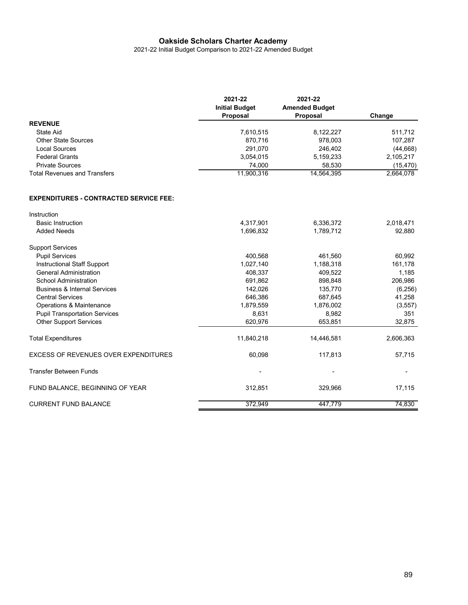### **Oakside Scholars Charter Academy**

2021-22 Initial Budget Comparison to 2021-22 Amended Budget

|                                     | 2021-22<br><b>Initial Budget</b><br>Proposal | 2021-22<br><b>Amended Budget</b><br><b>Proposal</b> | Change    |
|-------------------------------------|----------------------------------------------|-----------------------------------------------------|-----------|
| <b>REVENUE</b>                      |                                              |                                                     |           |
| State Aid                           | 7.610.515                                    | 8.122.227                                           | 511,712   |
| Other State Sources                 | 870.716                                      | 978,003                                             | 107,287   |
| Local Sources                       | 291,070                                      | 246.402                                             | (44, 668) |
| <b>Federal Grants</b>               | 3,054,015                                    | 5,159,233                                           | 2,105,217 |
| <b>Private Sources</b>              | 74.000                                       | 58,530                                              | (15, 470) |
| <b>Total Revenues and Transfers</b> | 11,900,316                                   | 14,564,395                                          | 2,664,078 |

#### **EXPENDITURES - CONTRACTED SERVICE FEE:**

| Instruction                                 |            |            |           |
|---------------------------------------------|------------|------------|-----------|
| <b>Basic Instruction</b>                    | 4,317,901  | 6,336,372  | 2,018,471 |
| <b>Added Needs</b>                          | 1,696,832  | 1,789,712  | 92,880    |
| <b>Support Services</b>                     |            |            |           |
| <b>Pupil Services</b>                       | 400,568    | 461,560    | 60,992    |
| Instructional Staff Support                 | 1,027,140  | 1,188,318  | 161,178   |
| <b>General Administration</b>               | 408,337    | 409,522    | 1,185     |
| <b>School Administration</b>                | 691,862    | 898,848    | 206,986   |
| <b>Business &amp; Internal Services</b>     | 142,026    | 135,770    | (6, 256)  |
| <b>Central Services</b>                     | 646,386    | 687,645    | 41,258    |
| Operations & Maintenance                    | 1,879,559  | 1,876,002  | (3, 557)  |
| <b>Pupil Transportation Services</b>        | 8,631      | 8,982      | 351       |
| <b>Other Support Services</b>               | 620,976    | 653,851    | 32,875    |
| <b>Total Expenditures</b>                   | 11,840,218 | 14,446,581 | 2,606,363 |
| <b>EXCESS OF REVENUES OVER EXPENDITURES</b> | 60,098     | 117,813    | 57,715    |
| <b>Transfer Between Funds</b>               |            |            |           |
| FUND BALANCE, BEGINNING OF YEAR             | 312,851    | 329,966    | 17,115    |
| <b>CURRENT FUND BALANCE</b>                 | 372,949    | 447,779    | 74,830    |